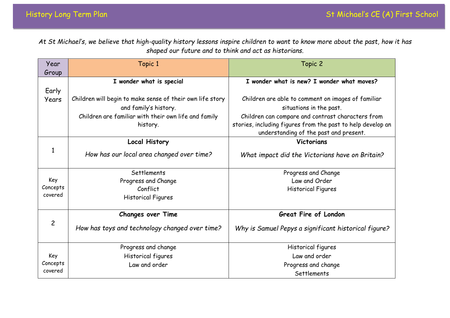*At St Michael's, we believe that high-quality history lessons inspire children to want to know more about the past, how it has shaped our future and to think and act as historians.*

| Year           | Topic 1                                                   | Topic 2                                                     |
|----------------|-----------------------------------------------------------|-------------------------------------------------------------|
| Group          |                                                           |                                                             |
|                | I wonder what is special                                  | I wonder what is new? I wonder what moves?                  |
| Early          |                                                           |                                                             |
| <b>Years</b>   | Children will begin to make sense of their own life story | Children are able to comment on images of familiar          |
|                | and family's history.                                     | situations in the past.                                     |
|                | Children are familiar with their own life and family      | Children can compare and contrast characters from           |
|                | history.                                                  | stories, including figures from the past to help develop an |
|                |                                                           | understanding of the past and present.                      |
|                | <b>Local History</b>                                      | <b>Victorians</b>                                           |
|                | How has our local area changed over time?                 | What impact did the Victorians have on Britain?             |
|                | Settlements                                               | Progress and Change                                         |
| Key            | Progress and Change                                       | Law and Order                                               |
| Concepts       | Conflict                                                  | <b>Historical Figures</b>                                   |
| covered        | Historical Figures                                        |                                                             |
|                |                                                           |                                                             |
| $\overline{c}$ | <b>Changes over Time</b>                                  | Great Fire of London                                        |
|                | How has toys and technology changed over time?            | Why is Samuel Pepys a significant historical figure?        |
|                | Progress and change                                       | Historical figures                                          |
| Key            | Historical figures                                        | Law and order                                               |
| Concepts       | Law and order                                             | Progress and change                                         |
| covered        |                                                           | Settlements                                                 |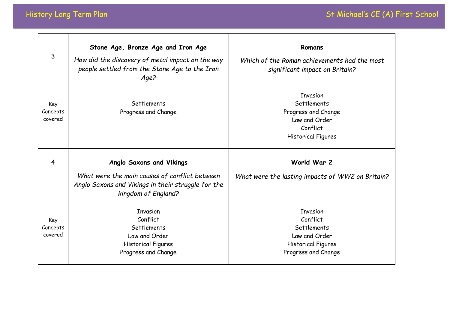| 3                          | Stone Age, Bronze Age and Iron Age<br>How did the discovery of metal impact on the way<br>people settled from the Stone Age to the Iron<br>Age?               | Romans<br>Which of the Roman achievements had the most<br>significant impact on Britain?                        |
|----------------------------|---------------------------------------------------------------------------------------------------------------------------------------------------------------|-----------------------------------------------------------------------------------------------------------------|
| Key<br>Concepts<br>covered | Settlements<br>Progress and Change                                                                                                                            | <b>Invasion</b><br>Settlements<br>Progress and Change<br>Law and Order<br>Conflict<br><b>Historical Figures</b> |
| 4                          | <b>Anglo Saxons and Vikings</b><br>What were the main causes of conflict between<br>Anglo Saxons and Vikings in their struggle for the<br>kingdom of England? | World War 2<br>What were the lasting impacts of WW2 on Britain?                                                 |
| Key<br>Concepts<br>covered | <b>Invasion</b><br>Conflict<br>Settlements<br>Law and Order<br><b>Historical Figures</b><br>Progress and Change                                               | <b>Invasion</b><br>Conflict<br>Settlements<br>Law and Order<br>Historical Figures<br>Progress and Change        |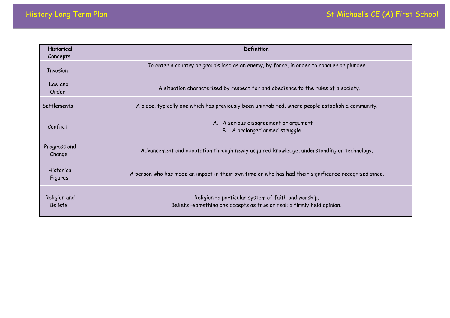| <b>Historical</b><br>Concepts  | Definition                                                                                                                   |
|--------------------------------|------------------------------------------------------------------------------------------------------------------------------|
| <b>Invasion</b>                | To enter a country or group's land as an enemy, by force, in order to conquer or plunder.                                    |
| Law and<br>Order               | A situation characterised by respect for and obedience to the rules of a society.                                            |
| Settlements                    | A place, typically one which has previously been uninhabited, where people establish a community.                            |
| Conflict                       | A. A serious disagreement or argument<br>B. A prolonged armed struggle.                                                      |
| Progress and<br>Change         | Advancement and adaptation through newly acquired knowledge, understanding or technology.                                    |
| <b>Historical</b><br>Figures   | A person who has made an impact in their own time or who has had their significance recognised since.                        |
| Religion and<br><b>Beliefs</b> | Religion -a particular system of faith and worship.<br>Beliefs-something one accepts as true or real; a firmly held opinion. |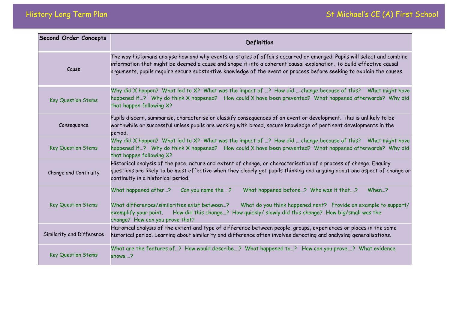| <b>Second Order Concepts</b> | Definition                                                                                                                                                                                                                                                                                                                                                            |
|------------------------------|-----------------------------------------------------------------------------------------------------------------------------------------------------------------------------------------------------------------------------------------------------------------------------------------------------------------------------------------------------------------------|
| Cause                        | The way historians analyse how and why events or states of affairs occurred or emerged. Pupils will select and combine<br>information that might be deemed a cause and shape it into a coherent causal explanation. To build effective causal<br>arguments, pupils require secure substantive knowledge of the event or process before seeking to explain the causes. |
| <b>Key Question Stems</b>    | Why did X happen? What led to X? What was the impact of ? How did  change because of this?<br>What might have<br>happened if? Why do think X happened? How could X have been prevented? What happened afterwards? Why did<br>that happen following X?                                                                                                                 |
| Consequence                  | Pupils discern, summarise, characterise or classify consequences of an event or development. This is unlikely to be<br>worthwhile or successful unless pupils are working with broad, secure knowledge of pertinent developments in the<br>period.                                                                                                                    |
| <b>Key Question Stems</b>    | Why did X happen? What led to X? What was the impact of ? How did  change because of this? What might have<br>happened if? Why do think X happened? How could X have been prevented? What happened afterwards? Why did<br>that happen following X?                                                                                                                    |
| Change and Continuity        | Historical analysis of the pace, nature and extent of change, or characterisation of a process of change. Enquiry<br>questions are likely to be most effective when they clearly get pupils thinking and arguing about one aspect of change or<br>continuity in a historical period.                                                                                  |
| <b>Key Question Stems</b>    | What happened before? Who was it that?<br>When?<br>What happened after?<br>Can you name the ?<br>What differences/similarities exist between?<br>What do you think happened next? Provide an example to support/<br>How did this change? How quickly/ slowly did this change? How big/small was the<br>exemplify your point.<br>change? How can you prove that?       |
| Similarity and Difference    | Historical analysis of the extent and type of difference between people, groups, experiences or places in the same<br>historical period. Learning about similarity and difference often involves detecting and analysing generalisations.                                                                                                                             |
| <b>Key Question Stems</b>    | What are the features of? How would describe? What happened to? How can you prove? What evidence<br>shows?                                                                                                                                                                                                                                                            |